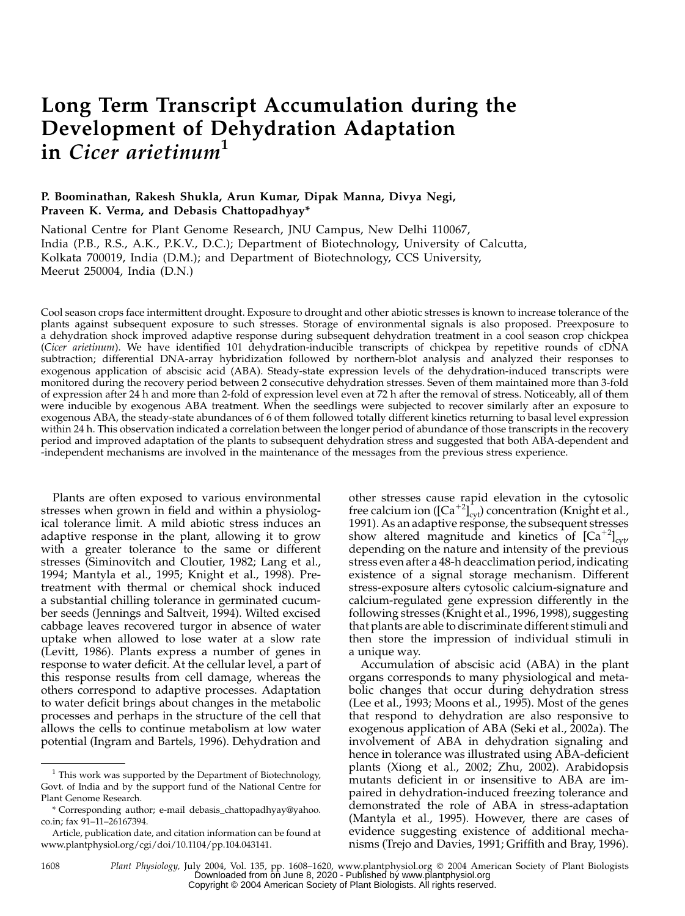# Long Term Transcript Accumulation during the Development of Dehydration Adaptation in Cicer arietinum<sup>1</sup>

# P. Boominathan, Rakesh Shukla, Arun Kumar, Dipak Manna, Divya Negi, Praveen K. Verma, and Debasis Chattopadhyay\*

National Centre for Plant Genome Research, JNU Campus, New Delhi 110067, India (P.B., R.S., A.K., P.K.V., D.C.); Department of Biotechnology, University of Calcutta, Kolkata 700019, India (D.M.); and Department of Biotechnology, CCS University, Meerut 250004, India (D.N.)

Cool season crops face intermittent drought. Exposure to drought and other abiotic stresses is known to increase tolerance of the plants against subsequent exposure to such stresses. Storage of environmental signals is also proposed. Preexposure to a dehydration shock improved adaptive response during subsequent dehydration treatment in a cool season crop chickpea (Cicer arietinum). We have identified 101 dehydration-inducible transcripts of chickpea by repetitive rounds of cDNA subtraction; differential DNA-array hybridization followed by northern-blot analysis and analyzed their responses to exogenous application of abscisic acid (ABA). Steady-state expression levels of the dehydration-induced transcripts were monitored during the recovery period between 2 consecutive dehydration stresses. Seven of them maintained more than 3-fold of expression after 24 h and more than 2-fold of expression level even at 72 h after the removal of stress. Noticeably, all of them were inducible by exogenous ABA treatment. When the seedlings were subjected to recover similarly after an exposure to exogenous ABA, the steady-state abundances of 6 of them followed totally different kinetics returning to basal level expression within 24 h. This observation indicated a correlation between the longer period of abundance of those transcripts in the recovery period and improved adaptation of the plants to subsequent dehydration stress and suggested that both ABA-dependent and -independent mechanisms are involved in the maintenance of the messages from the previous stress experience.

Plants are often exposed to various environmental stresses when grown in field and within a physiological tolerance limit. A mild abiotic stress induces an adaptive response in the plant, allowing it to grow with a greater tolerance to the same or different stresses (Siminovitch and Cloutier, 1982; Lang et al., 1994; Mantyla et al., 1995; Knight et al., 1998). Pretreatment with thermal or chemical shock induced a substantial chilling tolerance in germinated cucumber seeds (Jennings and Saltveit, 1994). Wilted excised cabbage leaves recovered turgor in absence of water uptake when allowed to lose water at a slow rate (Levitt, 1986). Plants express a number of genes in response to water deficit. At the cellular level, a part of this response results from cell damage, whereas the others correspond to adaptive processes. Adaptation to water deficit brings about changes in the metabolic processes and perhaps in the structure of the cell that allows the cells to continue metabolism at low water potential (Ingram and Bartels, 1996). Dehydration and

other stresses cause rapid elevation in the cytosolic free calcium ion ( $\left[Ca^{+2}\right]_{\text{cyt}}$ ) concentration (Knight et al., 1991). As an adaptive response, the subsequent stresses show altered magnitude and kinetics of  $\left[Ca^{+2}\right]_{\text{cyt}}$ depending on the nature and intensity of the previous stress even after a 48-h deacclimation period, indicating existence of a signal storage mechanism. Different stress-exposure alters cytosolic calcium-signature and calcium-regulated gene expression differently in the following stresses (Knight et al., 1996, 1998), suggesting that plants are able to discriminate different stimuli and then store the impression of individual stimuli in a unique way.

Accumulation of abscisic acid (ABA) in the plant organs corresponds to many physiological and metabolic changes that occur during dehydration stress (Lee et al., 1993; Moons et al., 1995). Most of the genes that respond to dehydration are also responsive to exogenous application of ABA (Seki et al., 2002a). The involvement of ABA in dehydration signaling and hence in tolerance was illustrated using ABA-deficient plants (Xiong et al., 2002; Zhu, 2002). Arabidopsis mutants deficient in or insensitive to ABA are impaired in dehydration-induced freezing tolerance and demonstrated the role of ABA in stress-adaptation (Mantyla et al., 1995). However, there are cases of evidence suggesting existence of additional mechanisms (Trejo and Davies, 1991; Griffith and Bray, 1996).

1608 Plant Physiology, July 2004, Vol. 135, pp. 1608–1620, www.plantphysiol.org 2004 American Society of Plant Biologists Downloaded from on June 8, 2020 - Published by [www.plantphysiol.org](http://www.plantphysiol.org) Copyright © 2004 American Society of Plant Biologists. All rights reserved.

 $1$  This work was supported by the Department of Biotechnology, Govt. of India and by the support fund of the National Centre for Plant Genome Research.

<sup>\*</sup> Corresponding author; e-mail debasis\_chattopadhyay@yahoo. co.in; fax 91–11–26167394.

Article, publication date, and citation information can be found at www.plantphysiol.org/cgi/doi/10.1104/pp.104.043141.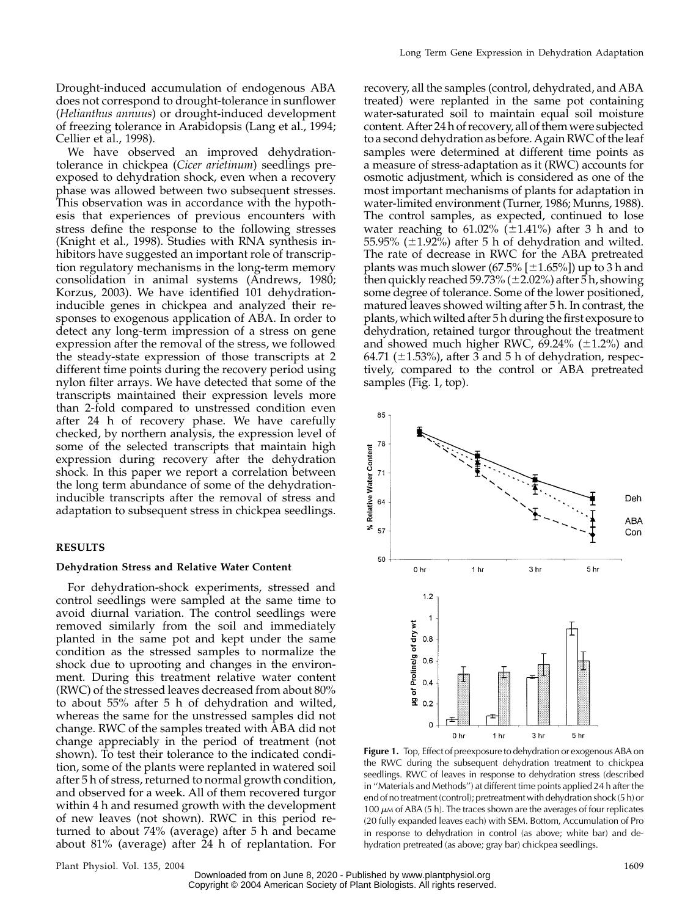Drought-induced accumulation of endogenous ABA does not correspond to drought-tolerance in sunflower (Helianthus annuus) or drought-induced development of freezing tolerance in Arabidopsis (Lang et al., 1994; Cellier et al., 1998).

We have observed an improved dehydrationtolerance in chickpea (Cicer arietinum) seedlings preexposed to dehydration shock, even when a recovery phase was allowed between two subsequent stresses. This observation was in accordance with the hypothesis that experiences of previous encounters with stress define the response to the following stresses (Knight et al., 1998). Studies with RNA synthesis inhibitors have suggested an important role of transcription regulatory mechanisms in the long-term memory consolidation in animal systems (Andrews, 1980; Korzus, 2003). We have identified 101 dehydrationinducible genes in chickpea and analyzed their responses to exogenous application of ABA. In order to detect any long-term impression of a stress on gene expression after the removal of the stress, we followed the steady-state expression of those transcripts at 2 different time points during the recovery period using nylon filter arrays. We have detected that some of the transcripts maintained their expression levels more than 2-fold compared to unstressed condition even after 24 h of recovery phase. We have carefully checked, by northern analysis, the expression level of some of the selected transcripts that maintain high expression during recovery after the dehydration shock. In this paper we report a correlation between the long term abundance of some of the dehydrationinducible transcripts after the removal of stress and adaptation to subsequent stress in chickpea seedlings.

# RESULTS

#### Dehydration Stress and Relative Water Content

For dehydration-shock experiments, stressed and control seedlings were sampled at the same time to avoid diurnal variation. The control seedlings were removed similarly from the soil and immediately planted in the same pot and kept under the same condition as the stressed samples to normalize the shock due to uprooting and changes in the environment. During this treatment relative water content (RWC) of the stressed leaves decreased from about 80% to about 55% after 5 h of dehydration and wilted, whereas the same for the unstressed samples did not change. RWC of the samples treated with ABA did not change appreciably in the period of treatment (not shown). To test their tolerance to the indicated condition, some of the plants were replanted in watered soil after 5 h of stress, returned to normal growth condition, and observed for a week. All of them recovered turgor within 4 h and resumed growth with the development of new leaves (not shown). RWC in this period returned to about 74% (average) after 5 h and became about 81% (average) after 24 h of replantation. For

recovery, all the samples (control, dehydrated, and ABA treated) were replanted in the same pot containing water-saturated soil to maintain equal soil moisture content. After 24 h of recovery, all of themwere subjected to a second dehydration as before. Again RWC of the leaf samples were determined at different time points as a measure of stress-adaptation as it (RWC) accounts for osmotic adjustment, which is considered as one of the most important mechanisms of plants for adaptation in water-limited environment (Turner, 1986; Munns, 1988). The control samples, as expected, continued to lose water reaching to 61.02%  $(\pm 1.41%)$  after 3 h and to 55.95% ( $\pm$ 1.92%) after 5 h of dehydration and wilted. The rate of decrease in RWC for the ABA pretreated plants was much slower  $(67.5\% \mid \pm 1.65\%)$ ) up to 3 h and then quickly reached 59.73% ( $\pm$ 2.02%) after 5 h, showing some degree of tolerance. Some of the lower positioned, matured leaves showed wilting after 5 h. In contrast, the plants, which wilted after 5 h during the first exposure to dehydration, retained turgor throughout the treatment and showed much higher RWC,  $69.24\%$  ( $\pm 1.2\%$ ) and 64.71 ( $\pm$ 1.53%), after 3 and 5 h of dehydration, respectively, compared to the control or ABA pretreated samples (Fig. 1, top).



Figure 1. Top, Effect of preexposure to dehydration or exogenous ABA on the RWC during the subsequent dehydration treatment to chickpea seedlings. RWC of leaves in response to dehydration stress (described in ''Materials and Methods'') at different time points applied 24 h after the end of notreatment (control); pretreatment with dehydration shock (5 h) or 100  $\mu$ M of ABA (5 h). The traces shown are the averages of four replicates (20 fully expanded leaves each) with SEM. Bottom, Accumulation of Pro in response to dehydration in control (as above; white bar) and dehydration pretreated (as above; gray bar) chickpea seedlings.

Plant Physiol. Vol. 135, 2004 1609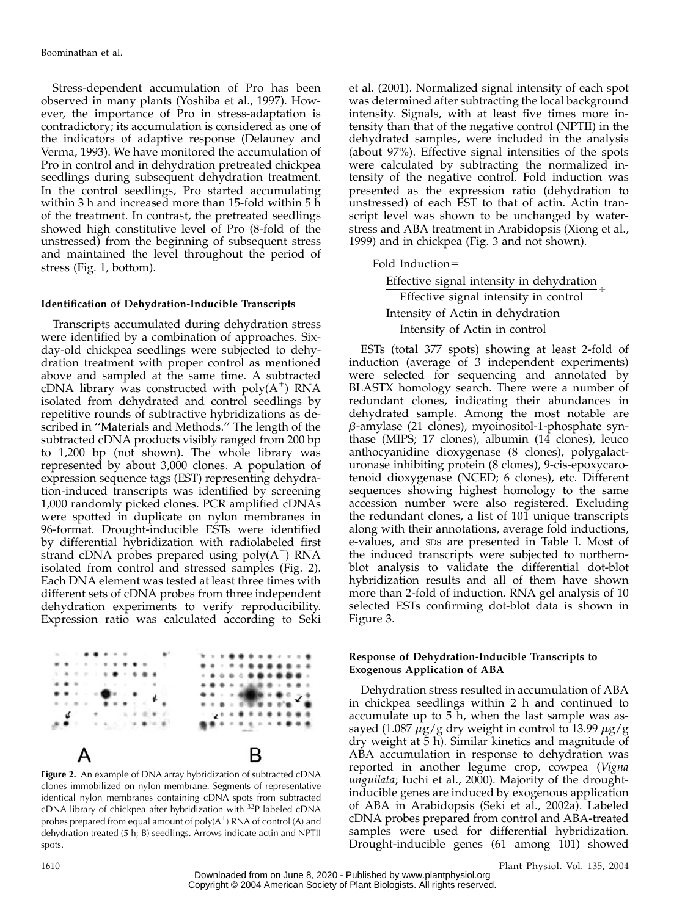Stress-dependent accumulation of Pro has been observed in many plants (Yoshiba et al., 1997). However, the importance of Pro in stress-adaptation is contradictory; its accumulation is considered as one of the indicators of adaptive response (Delauney and Verma, 1993). We have monitored the accumulation of Pro in control and in dehydration pretreated chickpea seedlings during subsequent dehydration treatment. In the control seedlings, Pro started accumulating within 3 h and increased more than 15-fold within 5 h of the treatment. In contrast, the pretreated seedlings showed high constitutive level of Pro (8-fold of the unstressed) from the beginning of subsequent stress and maintained the level throughout the period of stress (Fig. 1, bottom).

#### Identification of Dehydration-Inducible Transcripts

Transcripts accumulated during dehydration stress were identified by a combination of approaches. Sixday-old chickpea seedlings were subjected to dehydration treatment with proper control as mentioned above and sampled at the same time. A subtracted cDNA library was constructed with  $poly(A^+)$  RNA isolated from dehydrated and control seedlings by repetitive rounds of subtractive hybridizations as described in ''Materials and Methods.'' The length of the subtracted cDNA products visibly ranged from 200 bp to 1,200 bp (not shown). The whole library was represented by about 3,000 clones. A population of expression sequence tags (EST) representing dehydration-induced transcripts was identified by screening 1,000 randomly picked clones. PCR amplified cDNAs were spotted in duplicate on nylon membranes in 96-format. Drought-inducible ESTs were identified by differential hybridization with radiolabeled first strand cDNA probes prepared using  $poly(A^+)$  RNA isolated from control and stressed samples (Fig. 2). Each DNA element was tested at least three times with different sets of cDNA probes from three independent dehydration experiments to verify reproducibility. Expression ratio was calculated according to Seki



Figure 2. An example of DNA array hybridization of subtracted cDNA clones immobilized on nylon membrane. Segments of representative identical nylon membranes containing cDNA spots from subtracted cDNA library of chickpea after hybridization with <sup>32</sup>P-labeled cDNA probes prepared from equal amount of  $poly(A^+)$  RNA of control (A) and dehydration treated (5 h; B) seedlings. Arrows indicate actin and NPTII spots.

et al. (2001). Normalized signal intensity of each spot was determined after subtracting the local background intensity. Signals, with at least five times more intensity than that of the negative control (NPTII) in the dehydrated samples, were included in the analysis (about 97%). Effective signal intensities of the spots were calculated by subtracting the normalized intensity of the negative control. Fold induction was presented as the expression ratio (dehydration to unstressed) of each EST to that of actin. Actin transcript level was shown to be unchanged by waterstress and ABA treatment in Arabidopsis (Xiong et al., 1999) and in chickpea (Fig. 3 and not shown).

Fold Induction=

Effective signal intensity in dehydration Effective signal intensity in control ' Intensity of Actin in dehydration Intensity of Actin in control

ESTs (total 377 spots) showing at least 2-fold of induction (average of 3 independent experiments) were selected for sequencing and annotated by BLASTX homology search. There were a number of redundant clones, indicating their abundances in dehydrated sample. Among the most notable are  $\beta$ -amylase (21 clones), myoinositol-1-phosphate synthase (MIPS; 17 clones), albumin (14 clones), leuco anthocyanidine dioxygenase (8 clones), polygalacturonase inhibiting protein (8 clones), 9-cis-epoxycarotenoid dioxygenase (NCED; 6 clones), etc. Different sequences showing highest homology to the same accession number were also registered. Excluding the redundant clones, a list of 101 unique transcripts along with their annotations, average fold inductions, e-values, and SDs are presented in Table I. Most of the induced transcripts were subjected to northernblot analysis to validate the differential dot-blot hybridization results and all of them have shown more than 2-fold of induction. RNA gel analysis of 10 selected ESTs confirming dot-blot data is shown in Figure 3.

# Response of Dehydration-Inducible Transcripts to Exogenous Application of ABA

Dehydration stress resulted in accumulation of ABA in chickpea seedlings within 2 h and continued to accumulate up to 5 h, when the last sample was assayed (1.087  $\mu$ g/g dry weight in control to 13.99  $\mu$ g/g dry weight at 5 h). Similar kinetics and magnitude of ABA accumulation in response to dehydration was reported in another legume crop, cowpea (Vigna unguilata; Iuchi et al., 2000). Majority of the droughtinducible genes are induced by exogenous application of ABA in Arabidopsis (Seki et al., 2002a). Labeled cDNA probes prepared from control and ABA-treated samples were used for differential hybridization. Drought-inducible genes (61 among 101) showed

Downloaded from on June 8, 2020 - Published by [www.plantphysiol.org](http://www.plantphysiol.org) Copyright © 2004 American Society of Plant Biologists. All rights reserved.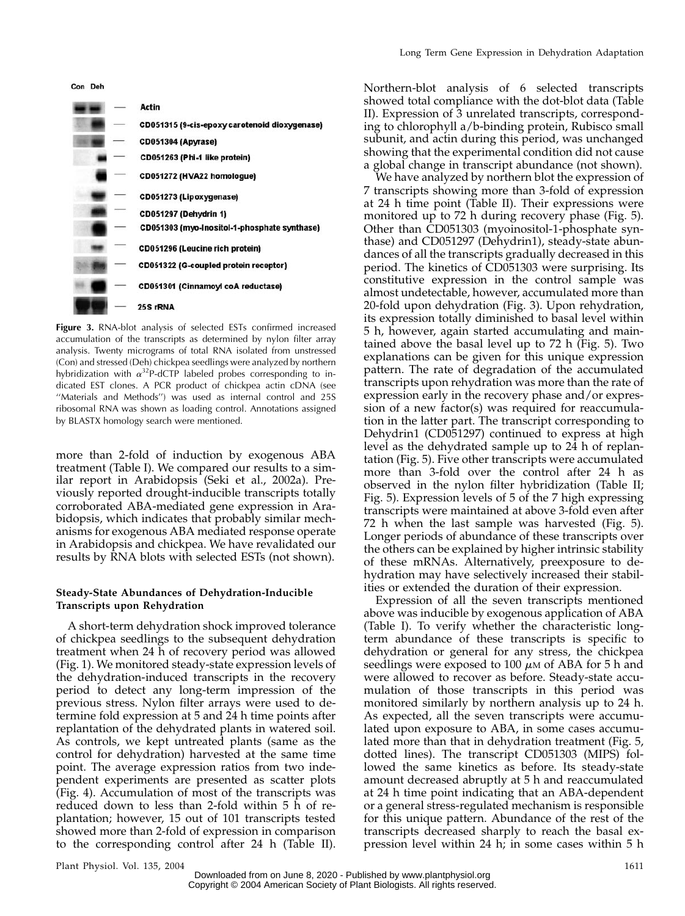

Figure 3. RNA-blot analysis of selected ESTs confirmed increased accumulation of the transcripts as determined by nylon filter array analysis. Twenty micrograms of total RNA isolated from unstressed (Con) and stressed (Deh) chickpea seedlings were analyzed by northern hybridization with  $\alpha^{32}$ P-dCTP labeled probes corresponding to indicated EST clones. A PCR product of chickpea actin cDNA (see "Materials and Methods") was used as internal control and 25S ribosomal RNA was shown as loading control. Annotations assigned by BLASTX homology search were mentioned.

more than 2-fold of induction by exogenous ABA treatment (Table I). We compared our results to a similar report in Arabidopsis (Seki et al., 2002a). Previously reported drought-inducible transcripts totally corroborated ABA-mediated gene expression in Arabidopsis, which indicates that probably similar mechanisms for exogenous ABA mediated response operate in Arabidopsis and chickpea. We have revalidated our results by RNA blots with selected ESTs (not shown).

### Steady-State Abundances of Dehydration-Inducible Transcripts upon Rehydration

A short-term dehydration shock improved tolerance of chickpea seedlings to the subsequent dehydration treatment when 24 h of recovery period was allowed (Fig. 1). We monitored steady-state expression levels of the dehydration-induced transcripts in the recovery period to detect any long-term impression of the previous stress. Nylon filter arrays were used to determine fold expression at 5 and 24 h time points after replantation of the dehydrated plants in watered soil. As controls, we kept untreated plants (same as the control for dehydration) harvested at the same time point. The average expression ratios from two independent experiments are presented as scatter plots (Fig. 4). Accumulation of most of the transcripts was reduced down to less than 2-fold within 5 h of replantation; however, 15 out of 101 transcripts tested showed more than 2-fold of expression in comparison to the corresponding control after 24 h (Table II).

Northern-blot analysis of 6 selected transcripts showed total compliance with the dot-blot data (Table II). Expression of 3 unrelated transcripts, corresponding to chlorophyll a/b-binding protein, Rubisco small subunit, and actin during this period, was unchanged showing that the experimental condition did not cause a global change in transcript abundance (not shown).

We have analyzed by northern blot the expression of 7 transcripts showing more than 3-fold of expression at 24 h time point (Table II). Their expressions were monitored up to 72 h during recovery phase (Fig. 5). Other than CD051303 (myoinositol-1-phosphate synthase) and CD051297 (Dehydrin1), steady-state abundances of all the transcripts gradually decreased in this period. The kinetics of CD051303 were surprising. Its constitutive expression in the control sample was almost undetectable, however, accumulated more than 20-fold upon dehydration (Fig. 3). Upon rehydration, its expression totally diminished to basal level within 5 h, however, again started accumulating and maintained above the basal level up to 72 h (Fig. 5). Two explanations can be given for this unique expression pattern. The rate of degradation of the accumulated transcripts upon rehydration was more than the rate of expression early in the recovery phase and/or expression of a new factor(s) was required for reaccumulation in the latter part. The transcript corresponding to Dehydrin1 (CD051297) continued to express at high level as the dehydrated sample up to 24 h of replantation (Fig. 5). Five other transcripts were accumulated more than 3-fold over the control after 24 h as observed in the nylon filter hybridization (Table II; Fig. 5). Expression levels of 5 of the 7 high expressing transcripts were maintained at above 3-fold even after 72 h when the last sample was harvested (Fig. 5). Longer periods of abundance of these transcripts over the others can be explained by higher intrinsic stability of these mRNAs. Alternatively, preexposure to dehydration may have selectively increased their stabilities or extended the duration of their expression.

Expression of all the seven transcripts mentioned above was inducible by exogenous application of ABA (Table I). To verify whether the characteristic longterm abundance of these transcripts is specific to dehydration or general for any stress, the chickpea seedlings were exposed to 100  $\mu$ M of ABA for 5 h and were allowed to recover as before. Steady-state accumulation of those transcripts in this period was monitored similarly by northern analysis up to 24 h. As expected, all the seven transcripts were accumulated upon exposure to ABA, in some cases accumulated more than that in dehydration treatment (Fig. 5, dotted lines). The transcript CD051303 (MIPS) followed the same kinetics as before. Its steady-state amount decreased abruptly at 5 h and reaccumulated at 24 h time point indicating that an ABA-dependent or a general stress-regulated mechanism is responsible for this unique pattern. Abundance of the rest of the transcripts decreased sharply to reach the basal expression level within 24 h; in some cases within 5 h

Plant Physiol. Vol. 135, 2004 1611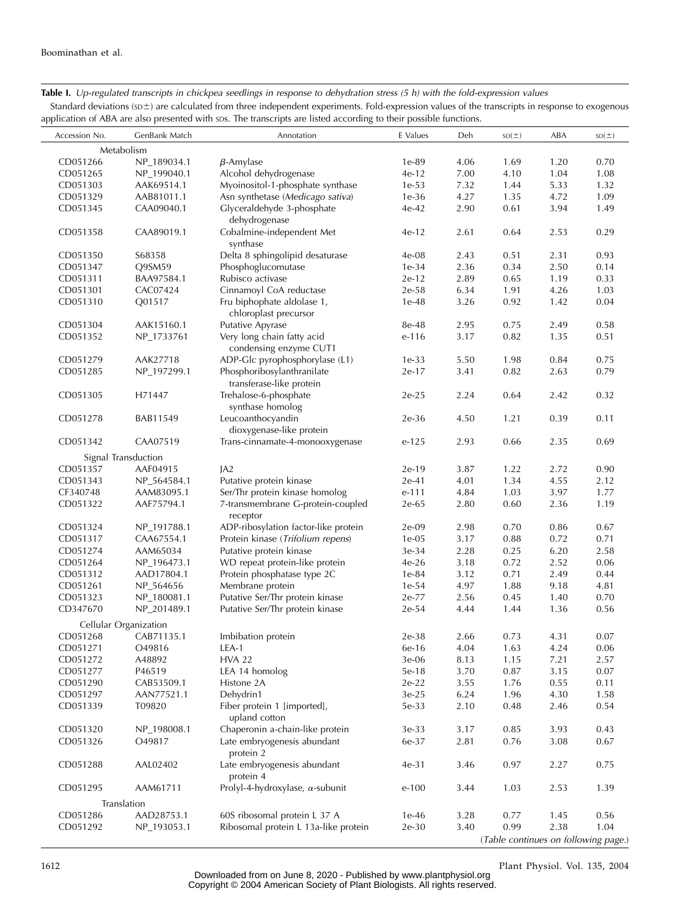# Table I. Up-regulated transcripts in chickpea seedlings in response to dehydration stress (5 h) with the fold-expression values

Standard deviations ( $s$ <sup>+</sup>) are calculated from three independent experiments. Fold-expression values of the transcripts in response to exogenous application of ABA are also presented with sps. The transcripts are listed according to their possible functions.

| Accession No. | GenBank Match         | Annotation                              | E Values | Deh  | SD(±) | ABA  | SD(±) |
|---------------|-----------------------|-----------------------------------------|----------|------|-------|------|-------|
| Metabolism    |                       |                                         |          |      |       |      |       |
| CD051266      | NP_189034.1           | $\beta$ -Amylase                        | 1e-89    | 4.06 | 1.69  | 1.20 | 0.70  |
| CD051265      | NP_199040.1           | Alcohol dehydrogenase                   | $4e-12$  | 7.00 | 4.10  | 1.04 | 1.08  |
| CD051303      | AAK69514.1            | Myoinositol-1-phosphate synthase        | $1e-53$  | 7.32 | 1.44  | 5.33 | 1.32  |
| CD051329      | AAB81011.1            | Asn synthetase (Medicago sativa)        | $1e-36$  | 4.27 | 1.35  | 4.72 | 1.09  |
| CD051345      | CAA09040.1            | Glyceraldehyde 3-phosphate              | $4e-42$  | 2.90 | 0.61  | 3.94 | 1.49  |
|               |                       | dehydrogenase                           |          |      |       |      |       |
| CD051358      | CAA89019.1            | Cobalmine-independent Met               | $4e-12$  | 2.61 | 0.64  | 2.53 | 0.29  |
|               |                       | synthase                                |          |      |       |      |       |
| CD051350      | S68358                | Delta 8 sphingolipid desaturase         | 4e-08    | 2.43 | 0.51  | 2.31 | 0.93  |
| CD051347      | Q9SM59                | Phosphoglucomutase                      | $1e-34$  | 2.36 | 0.34  | 2.50 | 0.14  |
| CD051311      | BAA97584.1            | Rubisco activase                        | $2e-12$  | 2.89 | 0.65  | 1.19 | 0.33  |
| CD051301      | CAC07424              | Cinnamoyl CoA reductase                 | 2e-58    | 6.34 | 1.91  | 4.26 | 1.03  |
| CD051310      | Q01517                | Fru biphophate aldolase 1,              | $1e-48$  | 3.26 | 0.92  | 1.42 | 0.04  |
|               |                       |                                         |          |      |       |      |       |
|               |                       | chloroplast precursor                   |          |      |       |      |       |
| CD051304      | AAK15160.1            | <b>Putative Apyrase</b>                 | 8e-48    | 2.95 | 0.75  | 2.49 | 0.58  |
| CD051352      | NP_1733761            | Very long chain fatty acid              | e-116    | 3.17 | 0.82  | 1.35 | 0.51  |
|               |                       | condensing enzyme CUT1                  |          |      |       | 0.84 |       |
| CD051279      | AAK27718              | ADP-Glc pyrophosphorylase (L1)          | $1e-33$  | 5.50 | 1.98  |      | 0.75  |
| CD051285      | NP_197299.1           | Phosphoribosylanthranilate              | $2e-17$  | 3.41 | 0.82  | 2.63 | 0.79  |
|               |                       | transferase-like protein                |          |      |       |      |       |
| CD051305      | H71447                | Trehalose-6-phosphate                   | $2e-25$  | 2.24 | 0.64  | 2.42 | 0.32  |
|               |                       | synthase homolog                        |          |      |       |      |       |
| CD051278      | BAB11549              | Leucoanthocyandin                       | $2e-36$  | 4.50 | 1.21  | 0.39 | 0.11  |
|               |                       | dioxygenase-like protein                |          |      |       |      |       |
| CD051342      | CAA07519              | Trans-cinnamate-4-monooxygenase         | $e-125$  | 2.93 | 0.66  | 2.35 | 0.69  |
|               | Signal Transduction   |                                         |          |      |       |      |       |
| CD051357      | AAF04915              | IA2                                     | $2e-19$  | 3.87 | 1.22  | 2.72 | 0.90  |
| CD051343      | NP_564584.1           | Putative protein kinase                 | $2e-41$  | 4.01 | 1.34  | 4.55 | 2.12  |
| CF340748      | AAM83095.1            | Ser/Thr protein kinase homolog          | e-111    | 4.84 | 1.03  | 3.97 | 1.77  |
| CD051322      | AAF75794.1            | 7-transmembrane G-protein-coupled       | 2e-65    | 2.80 | 0.60  | 2.36 | 1.19  |
|               |                       | receptor                                |          |      |       |      |       |
| CD051324      | NP_191788.1           | ADP-ribosylation factor-like protein    | $2e-09$  | 2.98 | 0.70  | 0.86 | 0.67  |
| CD051317      | CAA67554.1            | Protein kinase (Trifolium repens)       | $1e-05$  | 3.17 | 0.88  | 0.72 | 0.71  |
| CD051274      | AAM65034              | Putative protein kinase                 | 3e-34    | 2.28 | 0.25  | 6.20 | 2.58  |
| CD051264      | NP_196473.1           | WD repeat protein-like protein          | $4e-26$  | 3.18 | 0.72  | 2.52 | 0.06  |
| CD051312      | AAD17804.1            | Protein phosphatase type 2C             | 1e-84    | 3.12 | 0.71  | 2.49 | 0.44  |
| CD051261      | NP_564656             | Membrane protein                        | $1e-54$  | 4.97 | 1.88  | 9.18 | 4.81  |
| CD051323      | NP_180081.1           | Putative Ser/Thr protein kinase         | 2e-77    | 2.56 | 0.45  | 1.40 | 0.70  |
| CD347670      | NP_201489.1           | Putative Ser/Thr protein kinase         | 2e-54    | 4.44 | 1.44  | 1.36 | 0.56  |
|               | Cellular Organization |                                         |          |      |       |      |       |
| CD051268      | CAB71135.1            | Imbibation protein                      | $2e-38$  | 2.66 | 0.73  | 4.31 | 0.07  |
| CD051271      | O49816                | LEA-1                                   | 6e-16    | 4.04 | 1.63  | 4.24 | 0.06  |
|               |                       | <b>HVA 22</b>                           | 3e-06    | 8.13 | 1.15  |      | 2.57  |
| CD051272      | A48892                |                                         |          |      |       | 7.21 |       |
| CD051277      | P46519                | LEA 14 homolog                          | 5e-18    | 3.70 | 0.87  | 3.15 | 0.07  |
| CD051290      | CAB53509.1            | Histone 2A                              | $2e-22$  | 3.55 | 1.76  | 0.55 | 0.11  |
| CD051297      | AAN77521.1            | Dehydrin1                               | $3e-25$  | 6.24 | 1.96  | 4.30 | 1.58  |
| CD051339      | T09820                | Fiber protein 1 [imported],             | 5e-33    | 2.10 | 0.48  | 2.46 | 0.54  |
|               |                       | upland cotton                           |          |      |       |      |       |
| CD051320      | NP_198008.1           | Chaperonin a-chain-like protein         | 3e-33    | 3.17 | 0.85  | 3.93 | 0.43  |
| CD051326      | O49817                | Late embryogenesis abundant             | 6e-37    | 2.81 | 0.76  | 3.08 | 0.67  |
|               |                       | protein 2                               |          |      |       |      |       |
| CD051288      | AAL02402              | Late embryogenesis abundant             | $4e-31$  | 3.46 | 0.97  | 2.27 | 0.75  |
|               |                       | protein 4                               |          |      |       |      |       |
| CD051295      | AAM61711              | Prolyl-4-hydroxylase, $\alpha$ -subunit | $e-100$  | 3.44 | 1.03  | 2.53 | 1.39  |
|               | Translation           |                                         |          |      |       |      |       |
| CD051286      | AAD28753.1            | 60S ribosomal protein L 37 A            | 1e-46    | 3.28 | 0.77  | 1.45 | 0.56  |
| CD051292      | NP_193053.1           | Ribosomal protein L 13a-like protein    | 2e-30    | 3.40 | 0.99  | 2.38 | 1.04  |
|               |                       |                                         |          |      |       |      |       |

(Table continues on following page.)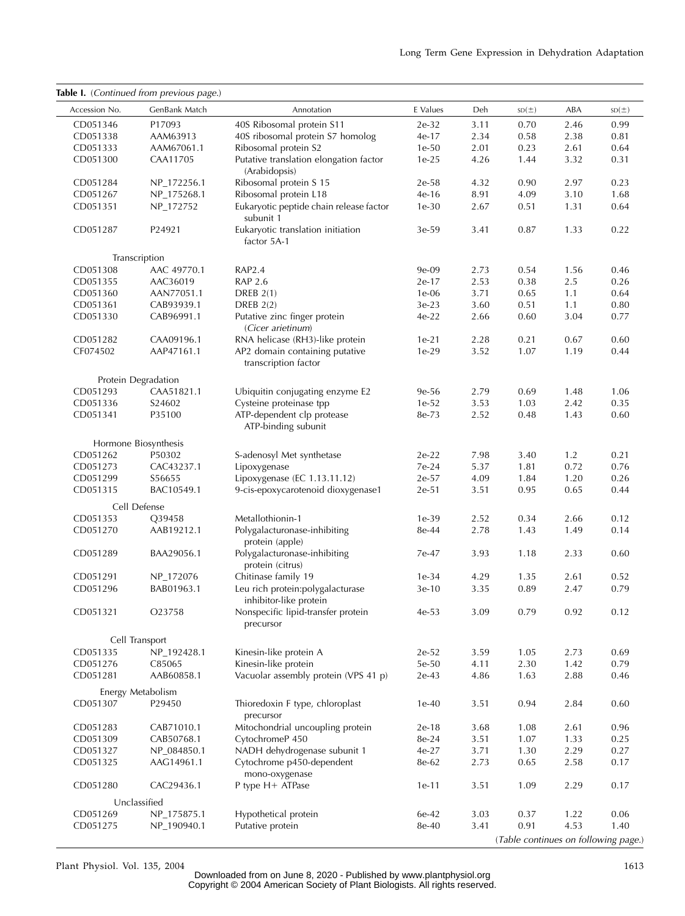|                      | Table I. (Continued from previous page.) |                                                            |                  |              |                                      |              |              |
|----------------------|------------------------------------------|------------------------------------------------------------|------------------|--------------|--------------------------------------|--------------|--------------|
| Accession No.        | GenBank Match                            | Annotation                                                 | E Values         | Deh          | SD(±)                                | ABA          | SD(±)        |
| CD051346             | P17093                                   | 40S Ribosomal protein S11                                  | 2e-32            | 3.11         | 0.70                                 | 2.46         | 0.99         |
| CD051338             | AAM63913                                 | 40S ribosomal protein S7 homolog                           | 4e-17            | 2.34         | 0.58                                 | 2.38         | 0.81         |
| CD051333             | AAM67061.1                               | Ribosomal protein S2                                       | $1e-50$          | 2.01         | 0.23                                 | 2.61         | 0.64         |
| CD051300             | CAA11705                                 | Putative translation elongation factor<br>(Arabidopsis)    | $1e-25$          | 4.26         | 1.44                                 | 3.32         | 0.31         |
| CD051284             | NP_172256.1                              | Ribosomal protein S 15                                     | 2e-58            | 4.32         | 0.90                                 | 2.97         | 0.23         |
| CD051267             | NP_175268.1                              | Ribosomal protein L18                                      | 4e-16            | 8.91         | 4.09                                 | 3.10         | 1.68         |
| CD051351             | NP_172752                                | Eukaryotic peptide chain release factor<br>subunit 1       | $1e-30$          | 2.67         | 0.51                                 | 1.31         | 0.64         |
| CD051287             | P24921                                   | Eukaryotic translation initiation<br>factor 5A-1           | $3e-59$          | 3.41         | 0.87                                 | 1.33         | 0.22         |
|                      | Transcription                            |                                                            |                  |              |                                      |              |              |
| CD051308             | AAC 49770.1                              | RAP2.4                                                     | 9e-09            | 2.73         | 0.54                                 | 1.56         | 0.46         |
| CD051355             | AAC36019                                 | <b>RAP 2.6</b>                                             | $2e-17$          | 2.53         | 0.38                                 | 2.5          | 0.26         |
| CD051360             | AAN77051.1                               | DREB $2(1)$                                                | $1e-06$          | 3.71         | 0.65                                 | 1.1          | 0.64         |
| CD051361             | CAB93939.1                               | <b>DREB 2(2)</b>                                           | 3e-23            | 3.60         | 0.51                                 | 1.1          | 0.80         |
| CD051330             | CAB96991.1                               | Putative zinc finger protein<br>(Cicer arietinum)          | $4e-22$          | 2.66         | 0.60                                 | 3.04         | 0.77         |
| CD051282             | CAA09196.1                               | RNA helicase (RH3)-like protein                            | $1e-21$          | 2.28         | 0.21                                 | 0.67         | 0.60         |
| CF074502             | AAP47161.1                               | AP2 domain containing putative<br>transcription factor     | $1e-29$          | 3.52         | 1.07                                 | 1.19         | 0.44         |
|                      | Protein Degradation                      |                                                            |                  |              |                                      |              |              |
| CD051293             | CAA51821.1                               | Ubiquitin conjugating enzyme E2                            | 9e-56            | 2.79         | 0.69                                 | 1.48         | 1.06         |
| CD051336             | S24602                                   | Cysteine proteinase tpp                                    | $1e-52$          | 3.53         | 1.03                                 | 2.42         | 0.35         |
| CD051341             | P35100                                   | ATP-dependent clp protease<br>ATP-binding subunit          | 8e-73            | 2.52         | 0.48                                 | 1.43         | 0.60         |
|                      | Hormone Biosynthesis                     |                                                            |                  |              |                                      |              |              |
| CD051262             | P50302                                   | S-adenosyl Met synthetase                                  | $2e-22$          | 7.98         | 3.40                                 | 1.2          | 0.21         |
| CD051273             | CAC43237.1                               | Lipoxygenase                                               | 7e-24            | 5.37         | 1.81                                 | 0.72         | 0.76         |
| CD051299             | S56655                                   | Lipoxygenase (EC 1.13.11.12)                               | 2e-57            | 4.09         | 1.84                                 | 1.20         | 0.26         |
| CD051315             | BAC10549.1                               | 9-cis-epoxycarotenoid dioxygenase1                         | $2e-51$          | 3.51         | 0.95                                 | 0.65         | 0.44         |
|                      | Cell Defense                             |                                                            |                  |              |                                      |              |              |
| CD051353             | Q39458                                   | Metallothionin-1                                           | $1e-39$          | 2.52         | 0.34                                 | 2.66         | 0.12         |
| CD051270             | AAB19212.1                               | Polygalacturonase-inhibiting<br>protein (apple)            | 8e-44            | 2.78         | 1.43                                 | 1.49         | 0.14         |
| CD051289             | BAA29056.1                               | Polygalacturonase-inhibiting<br>protein (citrus)           | 7e-47            | 3.93         | 1.18                                 | 2.33         | 0.60         |
| CD051291             | NP_172076                                | Chitinase family 19                                        | $1e-34$          | 4.29         | 1.35                                 | 2.61         | 0.52         |
| CD051296             | BAB01963.1                               | Leu rich protein:polygalacturase<br>inhibitor-like protein | $3e-10$          | 3.35         | 0.89                                 | 2.47         | 0.79         |
| CD051321             | O23758                                   | Nonspecific lipid-transfer protein<br>precursor            | $4e-53$          | 3.09         | 0.79                                 | 0.92         | 0.12         |
|                      | Cell Transport                           |                                                            |                  |              |                                      |              |              |
| CD051335             | NP_192428.1                              | Kinesin-like protein A                                     | 2e-52            | 3.59         | 1.05                                 | 2.73         | 0.69         |
| CD051276             | C85065                                   | Kinesin-like protein                                       | 5e-50            | 4.11         | 2.30                                 | 1.42         | 0.79         |
| CD051281             | AAB60858.1<br>Energy Metabolism          | Vacuolar assembly protein (VPS 41 p)                       | 2e-43            | 4.86         | 1.63                                 | 2.88         | 0.46         |
| CD051307             | P29450                                   | Thioredoxin F type, chloroplast                            | $1e-40$          | 3.51         | 0.94                                 | 2.84         | 0.60         |
|                      |                                          | precursor                                                  |                  |              |                                      |              |              |
| CD051283<br>CD051309 | CAB71010.1<br>CAB50768.1                 | Mitochondrial uncoupling protein                           | $2e-18$<br>8e-24 | 3.68<br>3.51 | 1.08<br>1.07                         | 2.61<br>1.33 | 0.96<br>0.25 |
|                      |                                          | CytochromeP 450                                            |                  |              |                                      |              |              |
| CD051327             | NP_084850.1                              | NADH dehydrogenase subunit 1                               | 4e-27            | 3.71         | 1.30                                 | 2.29         | 0.27         |
| CD051325             | AAG14961.1                               | Cytochrome p450-dependent<br>mono-oxygenase                | 8e-62            | 2.73         | 0.65                                 | 2.58         | 0.17         |
| CD051280             | CAC29436.1                               | P type $H+$ ATPase                                         | $1e-11$          | 3.51         | 1.09                                 | 2.29         | 0.17         |
|                      | Unclassified                             |                                                            |                  |              |                                      |              |              |
| CD051269             | NP_175875.1                              | Hypothetical protein                                       | 6e-42            | 3.03         | 0.37                                 | 1.22         | 0.06         |
| CD051275             | NP_190940.1                              | Putative protein                                           | 8e-40            | 3.41         | 0.91                                 | 4.53         | 1.40         |
|                      |                                          |                                                            |                  |              | (Table continues on following page.) |              |              |

Plant Physiol. Vol. 135, 2004 1613 Downloaded from on June 8, 2020 - Published by [www.plantphysiol.org](http://www.plantphysiol.org) Copyright © 2004 American Society of Plant Biologists. All rights reserved.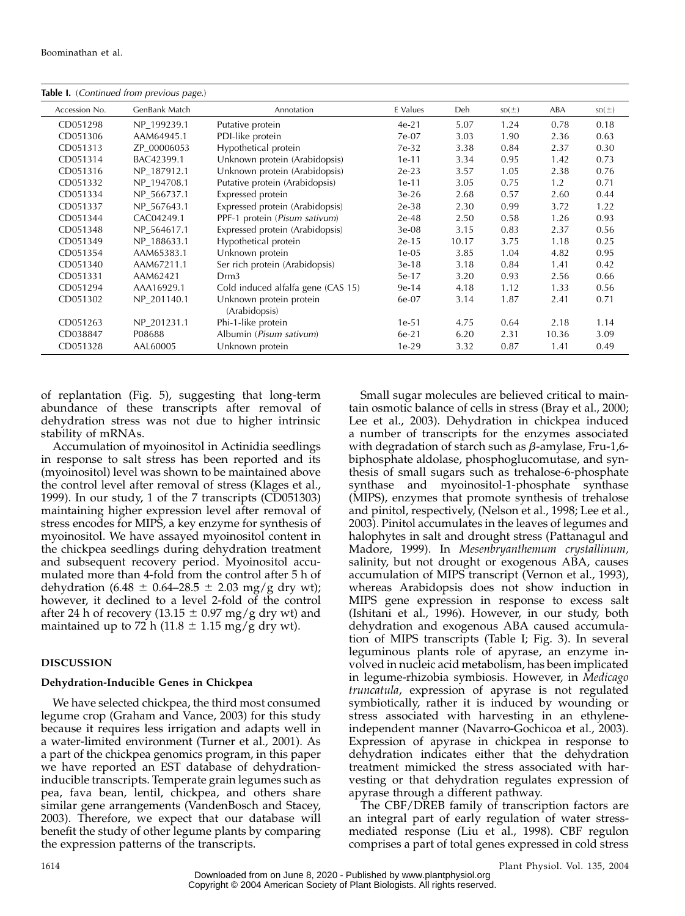| <b>Table I.</b> (Continued from previous page.) |               |                                          |          |       |       |       |       |
|-------------------------------------------------|---------------|------------------------------------------|----------|-------|-------|-------|-------|
| Accession No.                                   | GenBank Match | Annotation                               | E Values | Deh   | SD(±) | ABA   | SD(±) |
| CD051298                                        | NP 199239.1   | Putative protein                         | $4e-21$  | 5.07  | 1.24  | 0.78  | 0.18  |
| CD051306                                        | AAM64945.1    | PDI-like protein                         | 7e-07    | 3.03  | 1.90  | 2.36  | 0.63  |
| CD051313                                        | ZP 00006053   | Hypothetical protein                     | 7e-32    | 3.38  | 0.84  | 2.37  | 0.30  |
| CD051314                                        | BAC42399.1    | Unknown protein (Arabidopsis)            | $1e-11$  | 3.34  | 0.95  | 1.42  | 0.73  |
| CD051316                                        | NP 187912.1   | Unknown protein (Arabidopsis)            | $2e-23$  | 3.57  | 1.05  | 2.38  | 0.76  |
| CD051332                                        | NP 194708.1   | Putative protein (Arabidopsis)           | 1e-11    | 3.05  | 0.75  | 1.2   | 0.71  |
| CD051334                                        | NP 566737.1   | Expressed protein                        | $3e-26$  | 2.68  | 0.57  | 2.60  | 0.44  |
| CD051337                                        | NP_567643.1   | Expressed protein (Arabidopsis)          | $2e-38$  | 2.30  | 0.99  | 3.72  | 1.22  |
| CD051344                                        | CAC04249.1    | PPF-1 protein (Pisum sativum)            | $2e-48$  | 2.50  | 0.58  | 1.26  | 0.93  |
| CD051348                                        | NP 564617.1   | Expressed protein (Arabidopsis)          | $3e-08$  | 3.15  | 0.83  | 2.37  | 0.56  |
| CD051349                                        | NP 188633.1   | Hypothetical protein                     | $2e-15$  | 10.17 | 3.75  | 1.18  | 0.25  |
| CD051354                                        | AAM65383.1    | Unknown protein                          | $1e-05$  | 3.85  | 1.04  | 4.82  | 0.95  |
| CD051340                                        | AAM67211.1    | Ser rich protein (Arabidopsis)           | 3e-18    | 3.18  | 0.84  | 1.41  | 0.42  |
| CD051331                                        | AAM62421      | Drm3                                     | 5e-17    | 3.20  | 0.93  | 2.56  | 0.66  |
| CD051294                                        | AAA16929.1    | Cold induced alfalfa gene (CAS 15)       | $9e-14$  | 4.18  | 1.12  | 1.33  | 0.56  |
| CD051302                                        | NP 201140.1   | Unknown protein protein<br>(Arabidopsis) | 6e-07    | 3.14  | 1.87  | 2.41  | 0.71  |
| CD051263                                        | NP_201231.1   | Phi-1-like protein                       | $1e-51$  | 4.75  | 0.64  | 2.18  | 1.14  |
| CD038847                                        | P08688        | Albumin (Pisum sativum)                  | $6e-21$  | 6.20  | 2.31  | 10.36 | 3.09  |
| CD051328                                        | AAL60005      | Unknown protein                          | 1e-29    | 3.32  | 0.87  | 1.41  | 0.49  |

of replantation (Fig. 5), suggesting that long-term abundance of these transcripts after removal of dehydration stress was not due to higher intrinsic stability of mRNAs.

Accumulation of myoinositol in Actinidia seedlings in response to salt stress has been reported and its (myoinositol) level was shown to be maintained above the control level after removal of stress (Klages et al., 1999). In our study, 1 of the 7 transcripts (CD051303) maintaining higher expression level after removal of stress encodes for MIPS, a key enzyme for synthesis of myoinositol. We have assayed myoinositol content in the chickpea seedlings during dehydration treatment and subsequent recovery period. Myoinositol accumulated more than 4-fold from the control after 5 h of dehydration (6.48  $\pm$  0.64–28.5  $\pm$  2.03 mg/g dry wt); however, it declined to a level 2-fold of the control after 24 h of recovery (13.15  $\pm$  0.97 mg/g dry wt) and maintained up to 72 h (11.8  $\pm$  1.15 mg/g dry wt).

# DISCUSSION

#### Dehydration-Inducible Genes in Chickpea

We have selected chickpea, the third most consumed legume crop (Graham and Vance, 2003) for this study because it requires less irrigation and adapts well in a water-limited environment (Turner et al., 2001). As a part of the chickpea genomics program, in this paper we have reported an EST database of dehydrationinducible transcripts. Temperate grain legumes such as pea, fava bean, lentil, chickpea, and others share similar gene arrangements (VandenBosch and Stacey, 2003). Therefore, we expect that our database will benefit the study of other legume plants by comparing the expression patterns of the transcripts.

Small sugar molecules are believed critical to maintain osmotic balance of cells in stress (Bray et al., 2000; Lee et al., 2003). Dehydration in chickpea induced a number of transcripts for the enzymes associated with degradation of starch such as  $\beta$ -amylase, Fru-1,6biphosphate aldolase, phosphoglucomutase, and synthesis of small sugars such as trehalose-6-phosphate synthase and myoinositol-1-phosphate synthase (MIPS), enzymes that promote synthesis of trehalose and pinitol, respectively, (Nelson et al., 1998; Lee et al., 2003). Pinitol accumulates in the leaves of legumes and halophytes in salt and drought stress (Pattanagul and Madore, 1999). In Mesenbryanthemum crystallinum, salinity, but not drought or exogenous ABA, causes accumulation of MIPS transcript (Vernon et al., 1993), whereas Arabidopsis does not show induction in MIPS gene expression in response to excess salt (Ishitani et al., 1996). However, in our study, both dehydration and exogenous ABA caused accumulation of MIPS transcripts (Table I; Fig. 3). In several leguminous plants role of apyrase, an enzyme involved in nucleic acid metabolism, has been implicated in legume-rhizobia symbiosis. However, in Medicago truncatula, expression of apyrase is not regulated symbiotically, rather it is induced by wounding or stress associated with harvesting in an ethyleneindependent manner (Navarro-Gochicoa et al., 2003). Expression of apyrase in chickpea in response to dehydration indicates either that the dehydration treatment mimicked the stress associated with harvesting or that dehydration regulates expression of apyrase through a different pathway.

The CBF/DREB family of transcription factors are an integral part of early regulation of water stressmediated response (Liu et al., 1998). CBF regulon comprises a part of total genes expressed in cold stress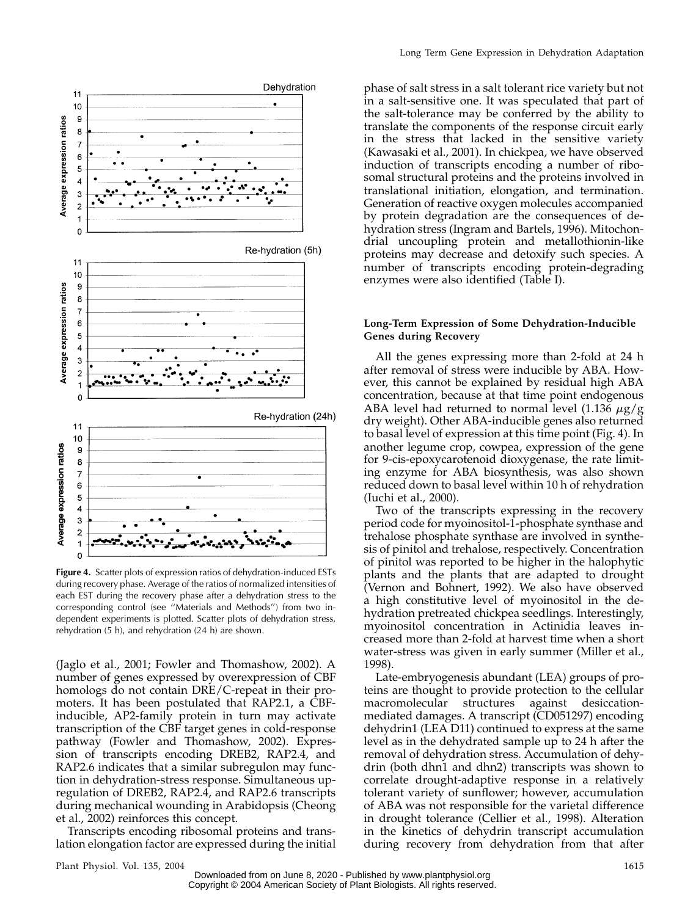

Figure 4. Scatter plots of expression ratios of dehydration-induced ESTs during recovery phase. Average of the ratios of normalized intensities of each EST during the recovery phase after a dehydration stress to the corresponding control (see ''Materials and Methods'') from two independent experiments is plotted. Scatter plots of dehydration stress, rehydration (5 h), and rehydration (24 h) are shown.

(Jaglo et al., 2001; Fowler and Thomashow, 2002). A number of genes expressed by overexpression of CBF homologs do not contain DRE/C-repeat in their promoters. It has been postulated that RAP2.1, a CBFinducible, AP2-family protein in turn may activate transcription of the CBF target genes in cold-response pathway (Fowler and Thomashow, 2002). Expression of transcripts encoding DREB2, RAP2.4, and RAP2.6 indicates that a similar subregulon may function in dehydration-stress response. Simultaneous upregulation of DREB2, RAP2.4, and RAP2.6 transcripts during mechanical wounding in Arabidopsis (Cheong et al., 2002) reinforces this concept.

Transcripts encoding ribosomal proteins and translation elongation factor are expressed during the initial

phase of salt stress in a salt tolerant rice variety but not in a salt-sensitive one. It was speculated that part of the salt-tolerance may be conferred by the ability to translate the components of the response circuit early in the stress that lacked in the sensitive variety (Kawasaki et al., 2001). In chickpea, we have observed induction of transcripts encoding a number of ribosomal structural proteins and the proteins involved in translational initiation, elongation, and termination. Generation of reactive oxygen molecules accompanied by protein degradation are the consequences of dehydration stress (Ingram and Bartels, 1996). Mitochondrial uncoupling protein and metallothionin-like proteins may decrease and detoxify such species. A number of transcripts encoding protein-degrading enzymes were also identified (Table I).

# Long-Term Expression of Some Dehydration-Inducible Genes during Recovery

All the genes expressing more than 2-fold at 24 h after removal of stress were inducible by ABA. However, this cannot be explained by residual high ABA concentration, because at that time point endogenous ABA level had returned to normal level (1.136  $\mu$ g/g dry weight). Other ABA-inducible genes also returned to basal level of expression at this time point (Fig. 4). In another legume crop, cowpea, expression of the gene for 9-cis-epoxycarotenoid dioxygenase, the rate limiting enzyme for ABA biosynthesis, was also shown reduced down to basal level within 10 h of rehydration (Iuchi et al., 2000).

Two of the transcripts expressing in the recovery period code for myoinositol-1-phosphate synthase and trehalose phosphate synthase are involved in synthesis of pinitol and trehalose, respectively. Concentration of pinitol was reported to be higher in the halophytic plants and the plants that are adapted to drought (Vernon and Bohnert, 1992). We also have observed a high constitutive level of myoinositol in the dehydration pretreated chickpea seedlings. Interestingly, myoinositol concentration in Actinidia leaves increased more than 2-fold at harvest time when a short water-stress was given in early summer (Miller et al., 1998).

Late-embryogenesis abundant (LEA) groups of proteins are thought to provide protection to the cellular macromolecular structures against desiccationmediated damages. A transcript (CD051297) encoding dehydrin1 (LEA D11) continued to express at the same level as in the dehydrated sample up to 24 h after the removal of dehydration stress. Accumulation of dehydrin (both dhn1 and dhn2) transcripts was shown to correlate drought-adaptive response in a relatively tolerant variety of sunflower; however, accumulation of ABA was not responsible for the varietal difference in drought tolerance (Cellier et al., 1998). Alteration in the kinetics of dehydrin transcript accumulation during recovery from dehydration from that after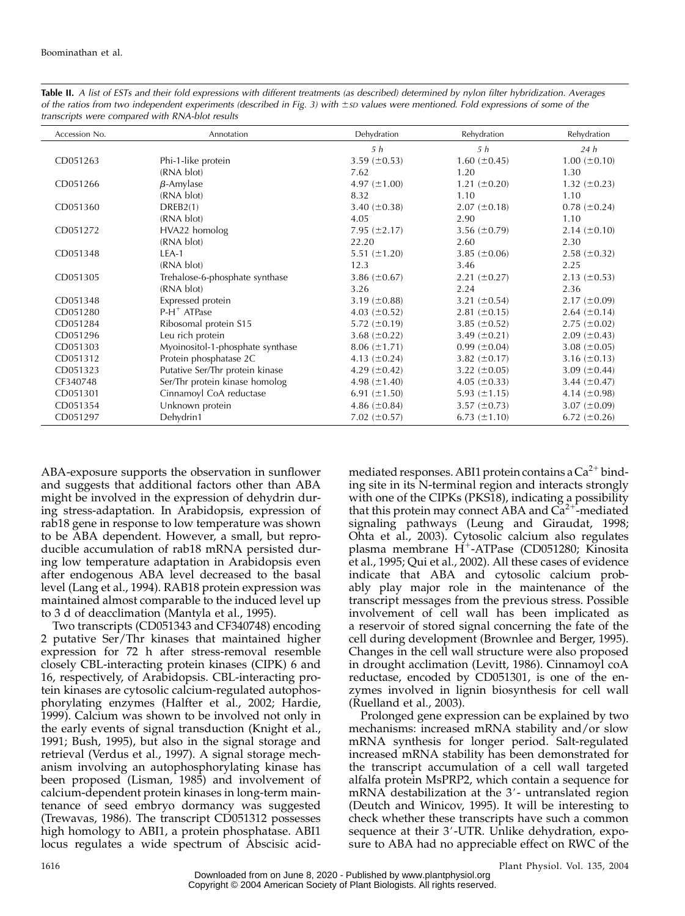| Accession No. | Annotation                       | Dehydration       | Rehydration         | Rehydration         |
|---------------|----------------------------------|-------------------|---------------------|---------------------|
|               |                                  | 5 h               | 5h                  | 24h                 |
| CD051263      | Phi-1-like protein               | 3.59 $(\pm 0.53)$ | $1.60 (\pm 0.45)$   | $1.00 \ (\pm 0.10)$ |
|               | (RNA blot)                       | 7.62              | 1.20                | 1.30                |
| CD051266      | $\beta$ -Amylase                 | 4.97 $(\pm 1.00)$ | $1.21 (\pm 0.20)$   | $1.32 \ (\pm 0.23)$ |
|               | (RNA blot)                       | 8.32              | 1.10                | 1.10                |
| CD051360      | DREB2(1)                         | 3.40 $(\pm 0.38)$ | $2.07 (\pm 0.18)$   | $0.78~(\pm 0.24)$   |
|               | (RNA blot)                       | 4.05              | 2.90                | 1.10                |
| CD051272      | HVA22 homolog                    | $7.95 (\pm 2.17)$ | $3.56 \ (\pm 0.79)$ | $2.14 \ (\pm 0.10)$ |
|               | (RNA blot)                       | 22.20             | 2.60                | 2.30                |
| CD051348      | $LEA-1$                          | 5.51 $(\pm 1.20)$ | 3.85 $(\pm 0.06)$   | $2.58 (\pm 0.32)$   |
|               | (RNA blot)                       | 12.3              | 3.46                | 2.25                |
| CD051305      | Trehalose-6-phosphate synthase   | 3.86 $(\pm 0.67)$ | $2.21 (\pm 0.27)$   | $2.13 \ (\pm 0.53)$ |
|               | (RNA blot)                       | 3.26              | 2.24                | 2.36                |
| CD051348      | Expressed protein                | 3.19 $(\pm 0.88)$ | 3.21 $(\pm 0.54)$   | $2.17 \ (\pm 0.09)$ |
| CD051280      | $P-H^+$ ATPase                   | 4.03 $(\pm 0.52)$ | $2.81 (\pm 0.15)$   | $2.64 (\pm 0.14)$   |
| CD051284      | Ribosomal protein S15            | 5.72 $(\pm 0.19)$ | 3.85 $(\pm 0.52)$   | $2.75 \ (\pm 0.02)$ |
| CD051296      | Leu rich protein                 | 3.68 $(\pm 0.22)$ | 3.49 $(\pm 0.21)$   | $2.09 \ (\pm 0.43)$ |
| CD051303      | Myoinositol-1-phosphate synthase | $8.06 (\pm 1.71)$ | $0.99 \ (\pm 0.04)$ | 3.08 $(\pm 0.05)$   |
| CD051312      | Protein phosphatase 2C           | 4.13 $(\pm 0.24)$ | 3.82 $(\pm 0.17)$   | 3.16 $(\pm 0.13)$   |
| CD051323      | Putative Ser/Thr protein kinase  | 4.29 $(\pm 0.42)$ | 3.22 $(\pm 0.05)$   | 3.09 $(\pm 0.44)$   |
| CF340748      | Ser/Thr protein kinase homolog   | 4.98 $(\pm 1.40)$ | 4.05 $(\pm 0.33)$   | 3.44 $(\pm 0.47)$   |
| CD051301      | Cinnamoyl CoA reductase          | 6.91 $(\pm 1.50)$ | 5.93 $(\pm 1.15)$   | 4.14 $(\pm 0.98)$   |
| CD051354      | Unknown protein                  | 4.86 $(\pm 0.84)$ | $3.57 \ (\pm 0.73)$ | 3.07 $(\pm 0.09)$   |
| CD051297      | Dehydrin1                        | 7.02 $(\pm 0.57)$ | 6.73 $(\pm 1.10)$   | 6.72 $(\pm 0.26)$   |

Table II. A list of ESTs and their fold expressions with different treatments (as described) determined by nylon filter hybridization. Averages of the ratios from two independent experiments (described in Fig. 3) with ±sp values were mentioned. Fold expressions of some of the transcripts were compared with RNA-blot results

ABA-exposure supports the observation in sunflower and suggests that additional factors other than ABA might be involved in the expression of dehydrin during stress-adaptation. In Arabidopsis, expression of rab18 gene in response to low temperature was shown to be ABA dependent. However, a small, but reproducible accumulation of rab18 mRNA persisted during low temperature adaptation in Arabidopsis even after endogenous ABA level decreased to the basal level (Lang et al., 1994). RAB18 protein expression was maintained almost comparable to the induced level up to 3 d of deacclimation (Mantyla et al., 1995).

Two transcripts (CD051343 and CF340748) encoding 2 putative Ser/Thr kinases that maintained higher expression for 72 h after stress-removal resemble closely CBL-interacting protein kinases (CIPK) 6 and 16, respectively, of Arabidopsis. CBL-interacting protein kinases are cytosolic calcium-regulated autophosphorylating enzymes (Halfter et al., 2002; Hardie, 1999). Calcium was shown to be involved not only in the early events of signal transduction (Knight et al., 1991; Bush, 1995), but also in the signal storage and retrieval (Verdus et al., 1997). A signal storage mechanism involving an autophosphorylating kinase has been proposed (Lisman, 1985) and involvement of calcium-dependent protein kinases in long-term maintenance of seed embryo dormancy was suggested (Trewavas, 1986). The transcript CD051312 possesses high homology to ABI1, a protein phosphatase. ABI1 locus regulates a wide spectrum of Abscisic acidmediated responses. ABI1 protein contains a  $Ca^{2+}$  binding site in its N-terminal region and interacts strongly with one of the CIPKs (PKS18), indicating a possibility that this protein may connect ABA and  $Ca^{2+}$ -mediated signaling pathways (Leung and Giraudat, 1998; Ohta et al., 2003). Cytosolic calcium also regulates plasma membrane H<sup>+</sup>-ATPase (CD051280; Kinosita et al., 1995; Qui et al., 2002). All these cases of evidence indicate that ABA and cytosolic calcium probably play major role in the maintenance of the transcript messages from the previous stress. Possible involvement of cell wall has been implicated as a reservoir of stored signal concerning the fate of the cell during development (Brownlee and Berger, 1995). Changes in the cell wall structure were also proposed in drought acclimation (Levitt, 1986). Cinnamoyl coA reductase, encoded by CD051301, is one of the enzymes involved in lignin biosynthesis for cell wall (Ruelland et al., 2003).

Prolonged gene expression can be explained by two mechanisms: increased mRNA stability and/or slow mRNA synthesis for longer period. Salt-regulated increased mRNA stability has been demonstrated for the transcript accumulation of a cell wall targeted alfalfa protein MsPRP2, which contain a sequence for mRNA destabilization at the  $3'$ - untranslated region (Deutch and Winicov, 1995). It will be interesting to check whether these transcripts have such a common sequence at their 3'-UTR. Unlike dehydration, exposure to ABA had no appreciable effect on RWC of the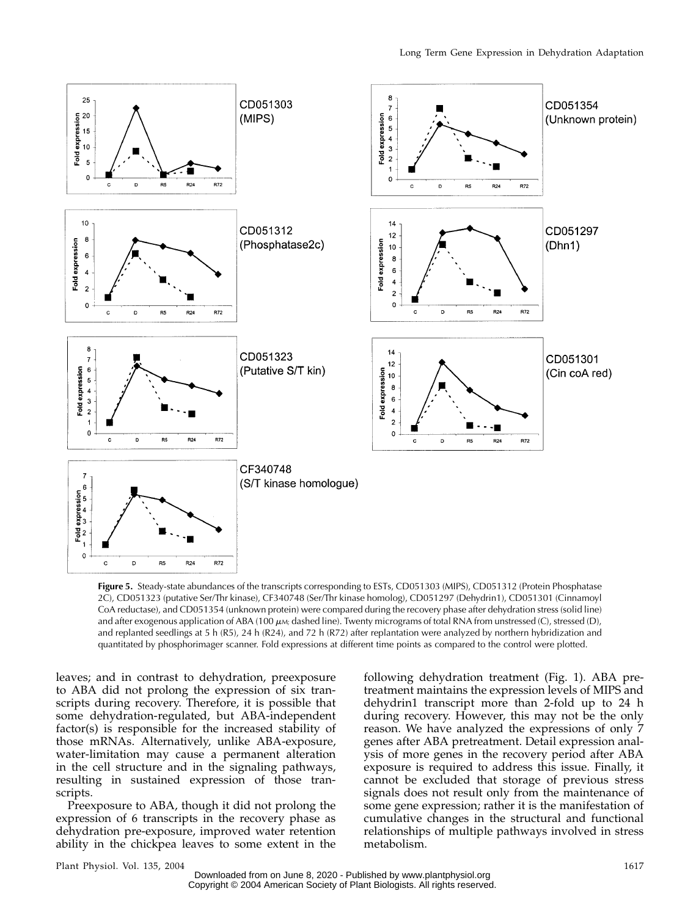

Figure 5. Steady-state abundances of the transcripts corresponding to ESTs, CD051303 (MIPS), CD051312 (Protein Phosphatase 2C), CD051323 (putative Ser/Thr kinase), CF340748 (Ser/Thr kinase homolog), CD051297 (Dehydrin1), CD051301 (Cinnamoyl CoA reductase), and CD051354 (unknown protein) were compared during the recovery phase after dehydration stress (solid line) and after exogenous application of ABA (100  $\mu$ M; dashed line). Twenty micrograms of total RNA from unstressed (C), stressed (D), and replanted seedlings at 5 h (R5), 24 h (R24), and 72 h (R72) after replantation were analyzed by northern hybridization and quantitated by phosphorimager scanner. Fold expressions at different time points as compared to the control were plotted.

leaves; and in contrast to dehydration, preexposure to ABA did not prolong the expression of six transcripts during recovery. Therefore, it is possible that some dehydration-regulated, but ABA-independent factor(s) is responsible for the increased stability of those mRNAs. Alternatively, unlike ABA-exposure, water-limitation may cause a permanent alteration in the cell structure and in the signaling pathways, resulting in sustained expression of those transcripts.

Preexposure to ABA, though it did not prolong the expression of 6 transcripts in the recovery phase as dehydration pre-exposure, improved water retention ability in the chickpea leaves to some extent in the

following dehydration treatment (Fig. 1). ABA pretreatment maintains the expression levels of MIPS and dehydrin1 transcript more than 2-fold up to 24 h during recovery. However, this may not be the only reason. We have analyzed the expressions of only 7 genes after ABA pretreatment. Detail expression analysis of more genes in the recovery period after ABA exposure is required to address this issue. Finally, it cannot be excluded that storage of previous stress signals does not result only from the maintenance of some gene expression; rather it is the manifestation of cumulative changes in the structural and functional relationships of multiple pathways involved in stress metabolism.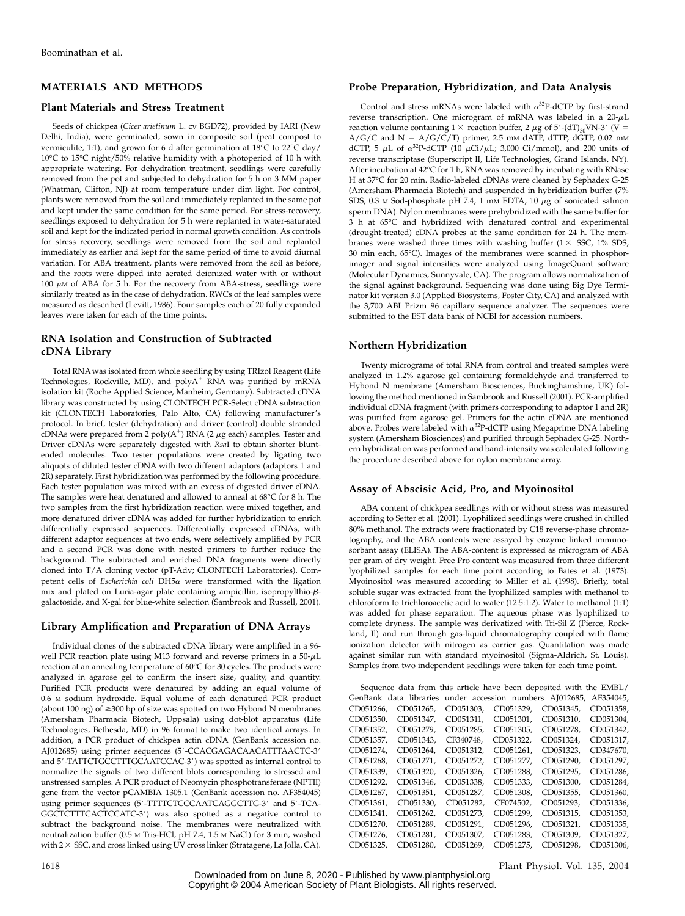# MATERIALS AND METHODS

#### Plant Materials and Stress Treatment

Seeds of chickpea (Cicer arietinum L. cv BGD72), provided by IARI (New Delhi, India), were germinated, sown in composite soil (peat compost to vermiculite, 1:1), and grown for 6 d after germination at  $18^{\circ}$ C to 22 $^{\circ}$ C day/ 10°C to 15°C night/50% relative humidity with a photoperiod of 10 h with appropriate watering. For dehydration treatment, seedlings were carefully removed from the pot and subjected to dehydration for 5 h on 3 MM paper (Whatman, Clifton, NJ) at room temperature under dim light. For control, plants were removed from the soil and immediately replanted in the same pot and kept under the same condition for the same period. For stress-recovery, seedlings exposed to dehydration for 5 h were replanted in water-saturated soil and kept for the indicated period in normal growth condition. As controls for stress recovery, seedlings were removed from the soil and replanted immediately as earlier and kept for the same period of time to avoid diurnal variation. For ABA treatment, plants were removed from the soil as before, and the roots were dipped into aerated deionized water with or without 100  $\mu$ M of ABA for 5 h. For the recovery from ABA-stress, seedlings were similarly treated as in the case of dehydration. RWCs of the leaf samples were measured as described (Levitt, 1986). Four samples each of 20 fully expanded leaves were taken for each of the time points.

# RNA Isolation and Construction of Subtracted cDNA Library

Total RNA was isolated from whole seedling by using TRIzol Reagent (Life Technologies, Rockville, MD), and  $polyA^+$  RNA was purified by mRNA isolation kit (Roche Applied Science, Manheim, Germany). Subtracted cDNA library was constructed by using CLONTECH PCR-Select cDNA subtraction kit (CLONTECH Laboratories, Palo Alto, CA) following manufacturer's protocol. In brief, tester (dehydration) and driver (control) double stranded cDNAs were prepared from 2 poly $(A^+)$  RNA (2  $\mu$ g each) samples. Tester and Driver cDNAs were separately digested with RsaI to obtain shorter bluntended molecules. Two tester populations were created by ligating two aliquots of diluted tester cDNA with two different adaptors (adaptors 1 and 2R) separately. First hybridization was performed by the following procedure. Each tester population was mixed with an excess of digested driver cDNA. The samples were heat denatured and allowed to anneal at 68°C for 8 h. The two samples from the first hybridization reaction were mixed together, and more denatured driver cDNA was added for further hybridization to enrich differentially expressed sequences. Differentially expressed cDNAs, with different adaptor sequences at two ends, were selectively amplified by PCR and a second PCR was done with nested primers to further reduce the background. The subtracted and enriched DNA fragments were directly cloned into T/A cloning vector (pT-Adv; CLONTECH Laboratories). Competent cells of *Escherichia coli* DH5a were transformed with the ligation mix and plated on Luria-agar plate containing ampicillin, isopropylthio- $\beta$ galactoside, and X-gal for blue-white selection (Sambrook and Russell, 2001).

#### Library Amplification and Preparation of DNA Arrays

Individual clones of the subtracted cDNA library were amplified in a 96 well PCR reaction plate using M13 forward and reverse primers in a  $50-\mu L$ reaction at an annealing temperature of 60°C for 30 cycles. The products were analyzed in agarose gel to confirm the insert size, quality, and quantity. Purified PCR products were denatured by adding an equal volume of 0.6 M sodium hydroxide. Equal volume of each denatured PCR product (about 100 ng) of  $\geq$ 300 bp of size was spotted on two Hybond N membranes (Amersham Pharmacia Biotech, Uppsala) using dot-blot apparatus (Life Technologies, Bethesda, MD) in 96 format to make two identical arrays. In addition, a PCR product of chickpea actin cDNA (GenBank accession no. AJ012685) using primer sequences (5'-CCACGAGACAACATTTAACTC-3' and 5'-TATTCTGCCTTTGCAATCCAC-3') was spotted as internal control to normalize the signals of two different blots corresponding to stressed and unstressed samples. A PCR product of Neomycin phosphotransferase (NPTII) gene from the vector pCAMBIA 1305.1 (GenBank accession no. AF354045) using primer sequences (5'-TTTTCTCCCAATCAGGCTTG-3' and 5'-TCA-GGCTCTTTCACTCCATC-3') was also spotted as a negative control to subtract the background noise. The membranes were neutralized with neutralization buffer (0.5 M Tris-HCl, pH 7.4, 1.5 M NaCl) for 3 min, washed with  $2 \times SSC$ , and cross linked using UV cross linker (Stratagene, La Jolla, CA).

Control and stress mRNAs were labeled with  $\alpha^{32}P$ -dCTP by first-strand reverse transcription. One microgram of mRNA was labeled in a  $20-\mu L$ reaction volume containing  $1 \times$  reaction buffer, 2  $\mu$ g of 5'-(dT)<sub>30</sub>VN-3' (V =  $A/G/C$  and  $N = A/G/C/T$ ) primer, 2.5 mm dATP, dTTP, dGTP, 0.02 mm dCTP, 5  $\mu$ L of  $\alpha^{32}$ P-dCTP (10  $\mu$ Ci/ $\mu$ L; 3,000 Ci/mmol), and 200 units of reverse transcriptase (Superscript II, Life Technologies, Grand Islands, NY). After incubation at 42°C for 1 h, RNA was removed by incubating with RNase H at 37°C for 20 min. Radio-labeled cDNAs were cleaned by Sephadex G-25 (Amersham-Pharmacia Biotech) and suspended in hybridization buffer (7% SDS, 0.3 M Sod-phosphate pH 7.4, 1 mM EDTA, 10  $\mu$ g of sonicated salmon sperm DNA). Nylon membranes were prehybridized with the same buffer for 3 h at 65°C and hybridized with denatured control and experimental (drought-treated) cDNA probes at the same condition for 24 h. The membranes were washed three times with washing buffer  $(1 \times SSC, 1\% SDS,$ 30 min each, 65°C). Images of the membranes were scanned in phosphorimager and signal intensities were analyzed using ImageQuant software (Molecular Dynamics, Sunnyvale, CA). The program allows normalization of the signal against background. Sequencing was done using Big Dye Terminator kit version 3.0 (Applied Biosystems, Foster City, CA) and analyzed with the 3,700 ABI Prizm 96 capillary sequence analyzer. The sequences were submitted to the EST data bank of NCBI for accession numbers.

# Northern Hybridization

Twenty micrograms of total RNA from control and treated samples were analyzed in 1.2% agarose gel containing formaldehyde and transferred to Hybond N membrane (Amersham Biosciences, Buckinghamshire, UK) following the method mentioned in Sambrook and Russell (2001). PCR-amplified individual cDNA fragment (with primers corresponding to adaptor 1 and 2R) was purified from agarose gel. Primers for the actin cDNA are mentioned above. Probes were labeled with  $\alpha^{32}P$ -dCTP using Megaprime DNA labeling system (Amersham Biosciences) and purified through Sephadex G-25. Northern hybridization was performed and band-intensity was calculated following the procedure described above for nylon membrane array.

#### Assay of Abscisic Acid, Pro, and Myoinositol

ABA content of chickpea seedlings with or without stress was measured according to Setter et al. (2001). Lyophilized seedlings were crushed in chilled 80% methanol. The extracts were fractionated by C18 reverse-phase chromatography, and the ABA contents were assayed by enzyme linked immunosorbant assay (ELISA). The ABA-content is expressed as microgram of ABA per gram of dry weight. Free Pro content was measured from three different lyophilized samples for each time point according to Bates et al. (1973). Myoinositol was measured according to Miller et al. (1998). Briefly, total soluble sugar was extracted from the lyophilized samples with methanol to chloroform to trichloroacetic acid to water (12:5:1:2). Water to methanol (1:1) was added for phase separation. The aqueous phase was lyophilized to complete dryness. The sample was derivatized with Tri-Sil Z (Pierce, Rockland, Il) and run through gas-liquid chromatography coupled with flame ionization detector with nitrogen as carrier gas. Quantitation was made against similar run with standard myoinositol (Sigma-Aldrich, St. Louis). Samples from two independent seedlings were taken for each time point.

|           | Sequence data from this article have been deposited with the EMBL/ |           |           |           |           |
|-----------|--------------------------------------------------------------------|-----------|-----------|-----------|-----------|
|           | GenBank data libraries under accession numbers AJ012685, AF354045, |           |           |           |           |
| CD051266. | CD051265.                                                          | CD051303. | CD051329. | CD051345. | CD051358. |
| CD051350. | CD051347.                                                          | CD051311. | CD051301. | CD051310. | CD051304, |
| CD051352. | CD051279.                                                          | CD051285. | CD051305. | CD051278. | CD051342, |
| CD051357, | CD051343,                                                          | CF340748, | CD051322, | CD051324, | CD051317, |
| CD051274, | CD051264.                                                          | CD051312, | CD051261. | CD051323. | CD347670, |
| CD051268. | CD051271.                                                          | CD051272. | CD051277. | CD051290. | CD051297. |
| CD051339, | CD051320,                                                          | CD051326, | CD051288, | CD051295, | CD051286, |
| CD051292, | CD051346.                                                          | CD051338, | CD051333. | CD051300. | CD051284, |
| CD051267. | CD051351.                                                          | CD051287. | CD051308. | CD051355. | CD051360, |
| CD051361. | CD051330,                                                          | CD051282, | CF074502. | CD051293. | CD051336, |
| CD051341. | CD051262,                                                          | CD051273. | CD051299. | CD051315. | CD051353. |
| CD051270. | CD051289.                                                          | CD051291. | CD051296. | CD051321. | CD051335, |
| CD051276. | CD051281,                                                          | CD051307. | CD051283. | CD051309. | CD051327, |
| CD051325. | CD051280.                                                          | CD051269. | CD051275. | CD051298. | CD051306. |

1618 Plant Physiol. Vol. 135, 2004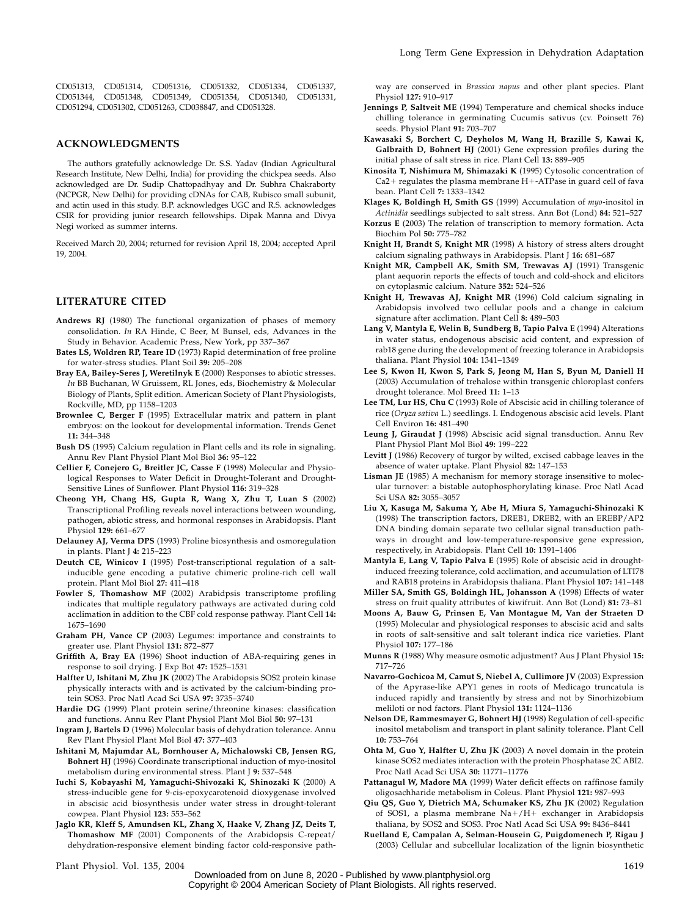CD051313, CD051314, CD051316, CD051332, CD051334, CD051337, CD051344, CD051348, CD051349, CD051354, CD051340, CD051331, CD051294, CD051302, CD051263, CD038847, and CD051328.

#### ACKNOWLEDGMENTS

The authors gratefully acknowledge Dr. S.S. Yadav (Indian Agricultural Research Institute, New Delhi, India) for providing the chickpea seeds. Also acknowledged are Dr. Sudip Chattopadhyay and Dr. Subhra Chakraborty (NCPGR, New Delhi) for providing cDNAs for CAB, Rubisco small subunit, and actin used in this study. B.P. acknowledges UGC and R.S. acknowledges CSIR for providing junior research fellowships. Dipak Manna and Divya Negi worked as summer interns.

Received March 20, 2004; returned for revision April 18, 2004; accepted April 19, 2004.

#### LITERATURE CITED

- Andrews RJ (1980) The functional organization of phases of memory consolidation. In RA Hinde, C Beer, M Bunsel, eds, Advances in the Study in Behavior. Academic Press, New York, pp 337–367
- Bates LS, Woldren RP, Teare ID (1973) Rapid determination of free proline for water-stress studies. Plant Soil 39: 205–208
- Bray EA, Bailey-Seres J, Weretilnyk E (2000) Responses to abiotic stresses. In BB Buchanan, W Gruissem, RL Jones, eds, Biochemistry & Molecular Biology of Plants, Split edition. American Society of Plant Physiologists, Rockville, MD, pp 1158–1203
- Brownlee C, Berger F (1995) Extracellular matrix and pattern in plant embryos: on the lookout for developmental information. Trends Genet 11: 344–348
- Bush DS (1995) Calcium regulation in Plant cells and its role in signaling. Annu Rev Plant Physiol Plant Mol Biol 36: 95–122
- Cellier F, Conejero G, Breitler JC, Casse F (1998) Molecular and Physiological Responses to Water Deficit in Drought-Tolerant and Drought-Sensitive Lines of Sunflower. Plant Physiol 116: 319–328
- Cheong YH, Chang HS, Gupta R, Wang X, Zhu T, Luan S (2002) Transcriptional Profiling reveals novel interactions between wounding, pathogen, abiotic stress, and hormonal responses in Arabidopsis. Plant Physiol 129: 661–677
- Delauney AJ, Verma DPS (1993) Proline biosynthesis and osmoregulation in plants. Plant J 4: 215–223
- Deutch CE, Winicov I (1995) Post-transcriptional regulation of a saltinducible gene encoding a putative chimeric proline-rich cell wall protein. Plant Mol Biol 27: 411–418
- Fowler S, Thomashow MF (2002) Arabidpsis transcriptome profiling indicates that multiple regulatory pathways are activated during cold acclimation in addition to the CBF cold response pathway. Plant Cell 14: 1675–1690
- Graham PH, Vance CP (2003) Legumes: importance and constraints to greater use. Plant Physiol 131: 872–877
- Griffith A, Bray EA (1996) Shoot induction of ABA-requiring genes in response to soil drying. J Exp Bot 47: 1525–1531
- Halfter U, Ishitani M, Zhu JK (2002) The Arabidopsis SOS2 protein kinase physically interacts with and is activated by the calcium-binding protein SOS3. Proc Natl Acad Sci USA 97: 3735–3740
- Hardie DG (1999) Plant protein serine/threonine kinases: classification and functions. Annu Rev Plant Physiol Plant Mol Biol 50: 97–131
- Ingram J, Bartels D (1996) Molecular basis of dehydration tolerance. Annu Rev Plant Physiol Plant Mol Biol 47: 377–403
- Ishitani M, Majumdar AL, Bornhouser A, Michalowski CB, Jensen RG, Bohnert HJ (1996) Coordinate transcriptional induction of myo-inositol metabolism during environmental stress. Plant J 9: 537–548
- Iuchi S, Kobayashi M, Yamaguchi-Shivozaki K, Shinozaki K (2000) A stress-inducible gene for 9-cis-epoxycarotenoid dioxygenase involved in abscisic acid biosynthesis under water stress in drought-tolerant cowpea. Plant Physiol 123: 553–562
- Jaglo KR, Kleff S, Amundsen KL, Zhang X, Haake V, Zhang JZ, Deits T, Thomashow MF (2001) Components of the Arabidopsis C-repeat/ dehydration-responsive element binding factor cold-responsive path-

way are conserved in Brassica napus and other plant species. Plant Physiol 127: 910–917

- Jennings P, Saltveit ME (1994) Temperature and chemical shocks induce chilling tolerance in germinating Cucumis sativus (cv. Poinsett 76) seeds. Physiol Plant 91: 703–707
- Kawasaki S, Borchert C, Deyholos M, Wang H, Brazille S, Kawai K, Galbraith D, Bohnert HJ (2001) Gene expression profiles during the initial phase of salt stress in rice. Plant Cell 13: 889–905
- Kinosita T, Nishimura M, Shimazaki K (1995) Cytosolic concentration of  $Ca2+$  regulates the plasma membrane  $H + -ATP$ ase in guard cell of fava bean. Plant Cell 7: 1333–1342
- Klages K, Boldingh H, Smith GS (1999) Accumulation of myo-inositol in Actinidia seedlings subjected to salt stress. Ann Bot (Lond) 84: 521–527
- Korzus E (2003) The relation of transcription to memory formation. Acta Biochim Pol 50: 775–782
- Knight H, Brandt S, Knight MR (1998) A history of stress alters drought calcium signaling pathways in Arabidopsis. Plant J 16: 681–687
- Knight MR, Campbell AK, Smith SM, Trewavas AJ (1991) Transgenic plant aequorin reports the effects of touch and cold-shock and elicitors on cytoplasmic calcium. Nature 352: 524–526
- Knight H, Trewavas AJ, Knight MR (1996) Cold calcium signaling in Arabidopsis involved two cellular pools and a change in calcium signature after acclimation. Plant Cell 8: 489–503
- Lang V, Mantyla E, Welin B, Sundberg B, Tapio Palva E (1994) Alterations in water status, endogenous abscisic acid content, and expression of rab18 gene during the development of freezing tolerance in Arabidopsis thaliana. Plant Physiol 104: 1341–1349
- Lee S, Kwon H, Kwon S, Park S, Jeong M, Han S, Byun M, Daniell H (2003) Accumulation of trehalose within transgenic chloroplast confers drought tolerance. Mol Breed 11: 1–13
- Lee TM, Lur HS, Chu C (1993) Role of Abscisic acid in chilling tolerance of rice (Oryza sativa L.) seedlings. I. Endogenous abscisic acid levels. Plant Cell Environ 16: 481–490
- Leung J, Giraudat J (1998) Abscisic acid signal transduction. Annu Rev Plant Physiol Plant Mol Biol 49: 199–222
- Levitt J (1986) Recovery of turgor by wilted, excised cabbage leaves in the absence of water uptake. Plant Physiol 82: 147–153
- Lisman JE (1985) A mechanism for memory storage insensitive to molecular turnover: a bistable autophosphorylating kinase. Proc Natl Acad Sci USA 82: 3055–3057
- Liu X, Kasuga M, Sakuma Y, Abe H, Miura S, Yamaguchi-Shinozaki K (1998) The transcription factors, DREB1, DREB2, with an EREBP/AP2 DNA binding domain separate two cellular signal transduction pathways in drought and low-temperature-responsive gene expression, respectively, in Arabidopsis. Plant Cell 10: 1391–1406
- Mantyla E, Lang V, Tapio Palva E (1995) Role of abscisic acid in droughtinduced freezing tolerance, cold acclimation, and accumulation of LTI78 and RAB18 proteins in Arabidopsis thaliana. Plant Physiol 107: 141–148

Miller SA, Smith GS, Boldingh HL, Johansson A (1998) Effects of water stress on fruit quality attributes of kiwifruit. Ann Bot (Lond) 81: 73–81

- Moons A, Bauw G, Prinsen E, Van Montague M, Van der Straeten D (1995) Molecular and physiological responses to abscisic acid and salts in roots of salt-sensitive and salt tolerant indica rice varieties. Plant Physiol 107: 177–186
- Munns R (1988) Why measure osmotic adjustment? Aus J Plant Physiol 15: 717–726
- Navarro-Gochicoa M, Camut S, Niebel A, Cullimore JV (2003) Expression of the Apyrase-like APY1 genes in roots of Medicago truncatula is induced rapidly and transiently by stress and not by Sinorhizobium meliloti or nod factors. Plant Physiol 131: 1124–1136
- Nelson DE, Rammesmayer G, Bohnert HJ (1998) Regulation of cell-specific inositol metabolism and transport in plant salinity tolerance. Plant Cell 10: 753–764
- Ohta M, Guo Y, Halfter U, Zhu JK (2003) A novel domain in the protein kinase SOS2 mediates interaction with the protein Phosphatase 2C ABI2. Proc Natl Acad Sci USA 30: 11771–11776
- Pattanagul W, Madore MA (1999) Water deficit effects on raffinose family oligosachharide metabolism in Coleus. Plant Physiol 121: 987–993
- Qiu QS, Guo Y, Dietrich MA, Schumaker KS, Zhu JK (2002) Regulation of SOS1, a plasma membrane Na+/H+ exchanger in Arabidopsis thaliana, by SOS2 and SOS3. Proc Natl Acad Sci USA 99: 8436–8441
- Ruelland E, Campalan A, Selman-Housein G, Puigdomenech P, Rigau J (2003) Cellular and subcellular localization of the lignin biosynthetic

Plant Physiol. Vol. 135, 2004 1619